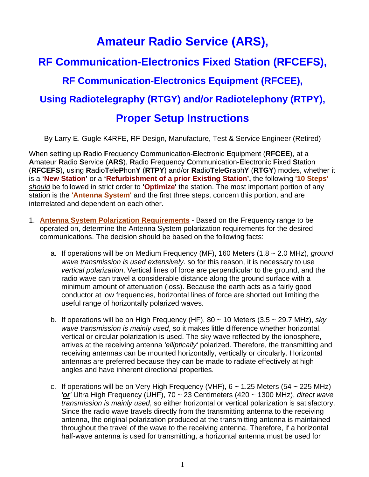## **Amateur Radio Service (ARS),**

# **RF Communication-Electronics Fixed Station (RFCEFS), RF Communication-Electronics Equipment (RFCEE),**

### **Using Radiotelegraphy (RTGY) and/or Radiotelephony (RTPY),**

### **Proper Setup Instructions**

By Larry E. Gugle K4RFE, RF Design, Manufacture, Test & Service Engineer (Retired)

When setting up **R**adio **F**requency **C**ommunication-**E**lectronic **E**quipment (**RFCEE**), at a **A**mateur **R**adio **S**ervice (**ARS**), **R**adio **F**requency **C**ommunication-**E**lectronic **F**ixed **S**tation (**RFCEFS**), using **R**adio**T**ele**P**hon**Y** (**RTPY**) and/or **R**adio**T**ele**G**raph**Y** (**RTGY**) modes, whether it is a **'New Station'** or a **'Refurbishment of a prior Existing Station',** the following **'10 Steps'** *should* be followed in strict order to **'Optimize'** the station. The most important portion of any station is the **'Antenna System'** and the first three steps, concern this portion, and are interrelated and dependent on each other.

- 1. **Antenna System Polarization Requirements** Based on the Frequency range to be operated on, determine the Antenna System polarization requirements for the desired communications. The decision should be based on the following facts:
	- a. If operations will be on Medium Frequency (MF), 160 Meters (1.8 ~ 2.0 MHz), *ground wave transmission is used extensively*. so for this reason, it is necessary to use *vertical polarization*. Vertical lines of force are perpendicular to the ground, and the radio wave can travel a considerable distance along the ground surface with a minimum amount of attenuation (loss). Because the earth acts as a fairly good conductor at low frequencies, horizontal lines of force are shorted out limiting the useful range of horizontally polarized waves.
	- b. If operations will be on High Frequency (HF), 80 ~ 10 Meters (3.5 ~ 29.7 MHz), *sky wave transmission is mainly used*, so it makes little difference whether horizontal, vertical or circular polarization is used. The sky wave reflected by the ionosphere, arrives at the receiving antenna *'elliptically'* polarized. Therefore, the transmitting and receiving antennas can be mounted horizontally, vertically or circularly. Horizontal antennas are preferred because they can be made to radiate effectively at high angles and have inherent directional properties.
	- c. If operations will be on Very High Frequency (VHF),  $6 \sim 1.25$  Meters (54  $\sim$  225 MHz) *'or'* Ultra High Frequency (UHF), 70 ~ 23 Centimeters (420 ~ 1300 MHz), *direct wave transmission is mainly used*, so either horizontal or vertical polarization is satisfactory. Since the radio wave travels directly from the transmitting antenna to the receiving antenna, the original polarization produced at the transmitting antenna is maintained throughout the travel of the wave to the receiving antenna. Therefore, if a horizontal half-wave antenna is used for transmitting, a horizontal antenna must be used for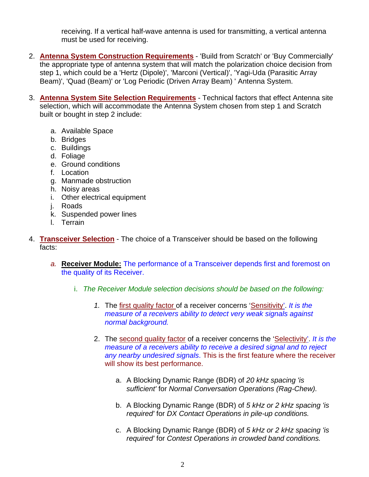receiving. If a vertical half-wave antenna is used for transmitting, a vertical antenna must be used for receiving.

- 2. **Antenna System Construction Requirements** 'Build from Scratch' or 'Buy Commercially' the appropriate type of antenna system that will match the polarization choice decision from step 1, which could be a 'Hertz (Dipole)', 'Marconi (Vertical)', 'Yagi-Uda (Parasitic Array Beam)', 'Quad (Beam)' or 'Log Periodic (Driven Array Beam) ' Antenna System.
- 3. **Antenna System Site Selection Requirements** Technical factors that effect Antenna site selection, which will accommodate the Antenna System chosen from step 1 and Scratch built or bought in step 2 include:
	- a. Available Space
	- b. Bridges
	- c. Buildings
	- d. Foliage
	- e. Ground conditions
	- f. Location
	- g. Manmade obstruction
	- h. Noisy areas
	- i. Other electrical equipment
	- j. Roads
	- k. Suspended power lines
	- l. Terrain
- 4. **Transceiver Selection** The choice of a Transceiver should be based on the following facts:
	- *a.* **Receiver Module:** The performance of a Transceiver depends first and foremost on the quality of its Receiver.
		- i. *The Receiver Module selection decisions should be based on the following:*
			- *1.* The first quality factor of a receiver concerns 'Sensitivity'. *It is the measure of a receivers ability to detect very weak signals against normal background.*
			- 2. The second quality factor of a receiver concerns the 'Selectivity'. *It is the measure of a receivers ability to receive a desired signal and to reject any nearby undesired signals*. This is the first feature where the receiver will show its best performance.
				- a. A Blocking Dynamic Range (BDR) of *20 kHz spacing 'is sufficient'* for *Normal Conversation Operations (Rag-Chew).*
				- b. A Blocking Dynamic Range (BDR) of *5 kHz or 2 kHz spacing 'is required'* for *DX Contact Operations in pile-up conditions.*
				- c. A Blocking Dynamic Range (BDR) of *5 kHz or 2 kHz spacing 'is required'* for *Contest Operations in crowded band conditions.*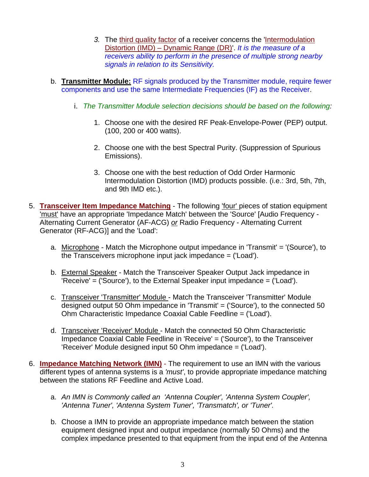- 3. The third quality factor of a receiver concerns the 'Intermodulation Distortion (IMD) – Dynamic Range (DR)'. *It is the measure of a receivers ability to perform in the presence of multiple strong nearby signals in relation to its Sensitivity.*
- b. **Transmitter Module:** RF signals produced by the Transmitter module, require fewer components and use the same Intermediate Frequencies (IF) as the Receiver.
	- i. *The Transmitter Module selection decisions should be based on the following:*
		- 1. Choose one with the desired RF Peak-Envelope-Power (PEP) output. (100, 200 or 400 watts).
		- 2. Choose one with the best Spectral Purity. (Suppression of Spurious Emissions).
		- 3. Choose one with the best reduction of Odd Order Harmonic Intermodulation Distortion (IMD) products possible. (i.e.: 3rd, 5th, 7th, and 9th IMD etc.).
- 5. **Transceiver Item Impedance Matching** The following 'four' pieces of station equipment 'must' have an appropriate 'Impedance Match' between the 'Source' [Audio Frequency - Alternating Current Generator (AF-ACG) *or* Radio Frequency - Alternating Current Generator (RF-ACG)] and the 'Load':
	- a. Microphone Match the Microphone output impedance in 'Transmit' = '(Source'), to the Transceivers microphone input jack impedance = ('Load').
	- b. External Speaker Match the Transceiver Speaker Output Jack impedance in 'Receive' = ('Source'), to the External Speaker input impedance = ('Load').
	- c. Transceiver 'Transmitter' Module Match the Transceiver 'Transmitter' Module designed output 50 Ohm impedance in 'Transmit' = ('Source'), to the connected 50 Ohm Characteristic Impedance Coaxial Cable Feedline = ('Load').
	- d. Transceiver 'Receiver' Module Match the connected 50 Ohm Characteristic Impedance Coaxial Cable Feedline in 'Receive' = ('Source'), to the Transceiver 'Receiver' Module designed input 50 Ohm impedance = ('Load').
- 6. **Impedance Matching Network (IMN)** The requirement to use an IMN with the various different types of antenna systems is a *'must'*, to provide appropriate impedance matching between the stations RF Feedline and Active Load.
	- a. *An IMN is Commonly called an 'Antenna Coupler', 'Antenna System Coupler', 'Antenna Tuner', 'Antenna System Tuner', 'Transmatch', or 'Tuner'.*
	- b. Choose a IMN to provide an appropriate impedance match between the station equipment designed input and output impedance (normally 50 Ohms) and the complex impedance presented to that equipment from the input end of the Antenna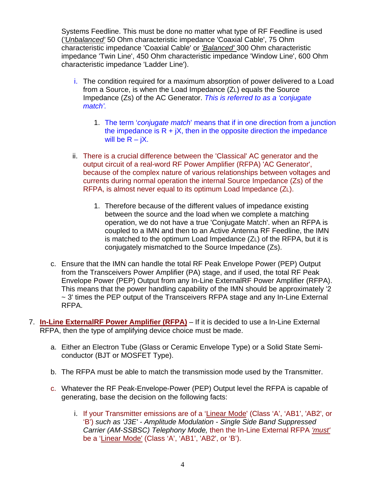Systems Feedline. This must be done no matter what type of RF Feedline is used (*'Unbalanced'* 50 Ohm characteristic impedance 'Coaxial Cable', 75 Ohm characteristic impedance 'Coaxial Cable' or *'Balanced'* 300 Ohm characteristic impedance 'Twin Line', 450 Ohm characteristic impedance 'Window Line', 600 Ohm characteristic impedance 'Ladder Line').

- i. The condition required for a maximum absorption of power delivered to a Load from a Source, is when the Load Impedance (ZL) equals the Source Impedance (Zs) of the AC Generator. *This is referred to as a 'conjugate match'.*
	- 1. The term '*conjugate match*' means that if in one direction from a junction the impedance is  $R + jX$ , then in the opposite direction the impedance will be  $R - iX$ .
- ii. There is a crucial difference between the 'Classical' AC generator and the output circuit of a real-word RF Power Amplifier (RFPA) 'AC Generator', because of the complex nature of various relationships between voltages and currents during normal operation the internal Source Impedance (Zs) of the RFPA, is almost never equal to its optimum Load Impedance (ZL).
	- 1. Therefore because of the different values of impedance existing between the source and the load when we complete a matching operation, we do not have a true 'Conjugate Match'. when an RFPA is coupled to a IMN and then to an Active Antenna RF Feedline, the IMN is matched to the optimum Load Impedance (ZL) of the RFPA, but it is conjugately mismatched to the Source Impedance (Zs).
- c. Ensure that the IMN can handle the total RF Peak Envelope Power (PEP) Output from the Transceivers Power Amplifier (PA) stage, and if used, the total RF Peak Envelope Power (PEP) Output from any In-Line ExternalRF Power Amplifier (RFPA). This means that the power handling capability of the IMN should be approximately '2 ~ 3' times the PEP output of the Transceivers RFPA stage and any In-Line External RFPA.
- 7. **In-Line ExternalRF Power Amplifier (RFPA)** If it is decided to use a In-Line External RFPA, then the type of amplifying device choice must be made.
	- a. Either an Electron Tube (Glass or Ceramic Envelope Type) or a Solid State Semiconductor (BJT or MOSFET Type).
	- b. The RFPA must be able to match the transmission mode used by the Transmitter.
	- c. Whatever the RF Peak-Envelope-Power (PEP) Output level the RFPA is capable of generating, base the decision on the following facts:
		- i. If your Transmitter emissions are of a 'Linear Mode' (Class 'A', 'AB1', 'AB2', or 'B') *such as 'J3E' - Amplitude Modulation - Single Side Band Suppressed Carrier (AM-SSBSC) Telephony Mode,* then the In-Line External RFPA *'must'* be a 'Linear Mode' (Class 'A', 'AB1', 'AB2', or 'B').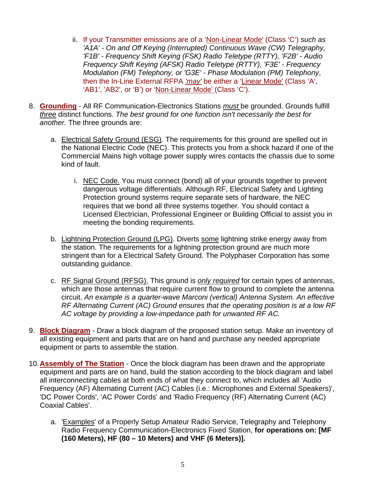- ii. If your Transmitter emissions are of a 'Non-Linear Mode' (Class 'C') *such as 'A1A' - On and Off Keying (Interrupted) Continuous Wave (CW) Telegraphy, 'F1B' - Frequency Shift Keying (FSK) Radio Teletype (RTTY), 'F2B' - Audio Frequency Shift Keying (AFSK) Radio Teletype (RTTY), 'F3E' - Frequency Modulation (FM) Telephony, or 'G3E' - Phase Modulation (PM) Telephony*, then the In-Line External RFPA *'may'* be either a 'Linear Mode' (Class 'A', 'AB1', 'AB2', or 'B') or 'Non-Linear Mode' (Class 'C').
- 8. **Grounding** All RF Communication-Electronics Stations *must* be grounded. Grounds fulfill *three* distinct functions. *The best ground for one function isn't necessarily the best for another.* The three grounds are:
	- a. Electrical Safety Ground (ESG). The requirements for this ground are spelled out in the National Electric Code (NEC). This protects you from a shock hazard if one of the Commercial Mains high voltage power supply wires contacts the chassis due to some kind of fault.
		- i. NEC Code. You must connect (bond) all of your grounds together to prevent dangerous voltage differentials. Although RF, Electrical Safety and Lighting Protection ground systems require separate sets of hardware, the NEC requires that we bond all three systems together. You should contact a Licensed Electrician, Professional Engineer or Building Official to assist you in meeting the bonding requirements.
	- b. Lightning Protection Ground (LPG). Diverts some lightning strike energy away from the station. The requirements for a lightning protection ground are much more stringent than for a Electrical Safety Ground. The Polyphaser Corporation has some outstanding guidance.
	- c. RF Signal Ground (RFSG). This ground is *only required* for certain types of antennas, which are those antennas that require current flow to ground to complete the antenna circuit. *An example is a quarter-wave Marconi (vertical) Antenna System. An effective RF Alternating Current (AC) Ground ensures that the operating position is at a low RF AC voltage by providing a low-impedance path for unwanted RF AC.*
- 9. **Block Diagram** Draw a block diagram of the proposed station setup. Make an inventory of all existing equipment and parts that are on hand and purchase any needed appropriate equipment or parts to assemble the station.
- 10. **Assembly of The Station** Once the block diagram has been drawn and the appropriate equipment and parts are on hand, build the station according to the block diagram and label all interconnecting cables at both ends of what they connect to, which includes all 'Audio Frequency (AF) Alternating Current (AC) Cables (i.e.: Microphones and External Speakers)', 'DC Power Cords', 'AC Power Cords' and 'Radio Frequency (RF) Alternating Current (AC) Coaxial Cables'.
	- a. 'Examples' of a Properly Setup Amateur Radio Service, Telegraphy and Telephony Radio Frequency Communication-Electronics Fixed Station, **for operations on: [MF (160 Meters), HF (80 – 10 Meters) and VHF (6 Meters)].**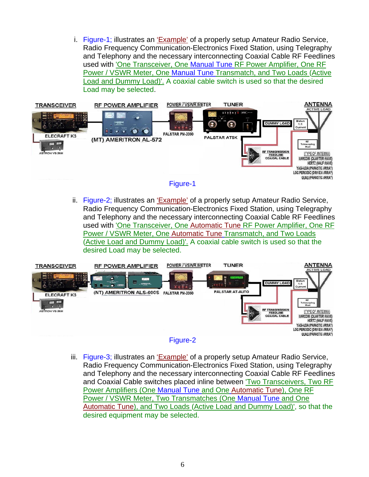i. Figure-1; illustrates an 'Example' of a properly setup Amateur Radio Service, Radio Frequency Communication-Electronics Fixed Station, using Telegraphy and Telephony and the necessary interconnecting Coaxial Cable RF Feedlines used with 'One Transceiver, One Manual Tune RF Power Amplifier, One RF Power / VSWR Meter, One Manual Tune Transmatch, and Two Loads (Active Load and Dummy Load)'. A coaxial cable switch is used so that the desired Load may be selected.





ii. Figure-2; illustrates an 'Example' of a properly setup Amateur Radio Service, Radio Frequency Communication-Electronics Fixed Station, using Telegraphy and Telephony and the necessary interconnecting Coaxial Cable RF Feedlines used with 'One Transceiver, One Automatic Tune RF Power Amplifier, One RF Power / VSWR Meter, One Automatic Tune Transmatch, and Two Loads (Active Load and Dummy Load)'. A coaxial cable switch is used so that the desired Load may be selected.





iii. Figure-3; illustrates an 'Example' of a properly setup Amateur Radio Service, Radio Frequency Communication-Electronics Fixed Station, using Telegraphy and Telephony and the necessary interconnecting Coaxial Cable RF Feedlines and Coaxial Cable switches placed inline between 'Two Transceivers, Two RF Power Amplifiers (One Manual Tune and One Automatic Tune), One RF Power / VSWR Meter, Two Transmatches (One Manual Tune and One Automatic Tune), and Two Loads (Active Load and Dummy Load)', so that the desired equipment may be selected.